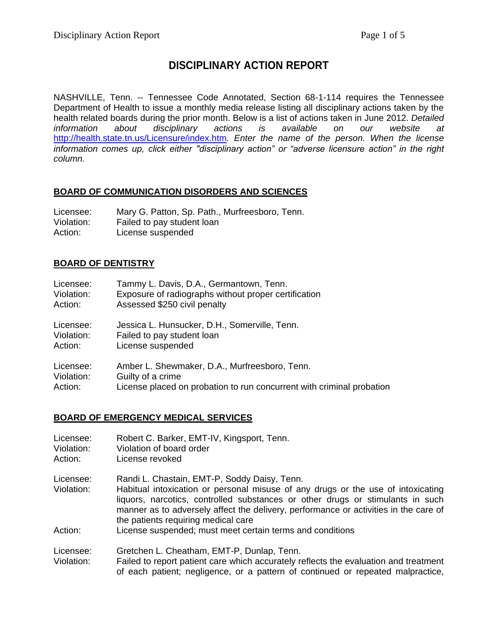# **DISCIPLINARY ACTION REPORT**

NASHVILLE, Tenn. -- Tennessee Code Annotated, Section 68-1-114 requires the Tennessee Department of Health to issue a monthly media release listing all disciplinary actions taken by the health related boards during the prior month. Below is a list of actions taken in June 2012. *Detailed information about disciplinary actions is available on our website at*  <http://health.state.tn.us/Licensure/index.htm>*. Enter the name of the person. When the license information comes up, click either "disciplinary action" or "adverse licensure action" in the right column.*

### **BOARD OF COMMUNICATION DISORDERS AND SCIENCES**

| Licensee:  | Mary G. Patton, Sp. Path., Murfreesboro, Tenn. |
|------------|------------------------------------------------|
| Violation: | Failed to pay student loan                     |
| Action:    | License suspended                              |

### **BOARD OF DENTISTRY**

| Licensee:  | Tammy L. Davis, D.A., Germantown, Tenn.                               |
|------------|-----------------------------------------------------------------------|
| Violation: | Exposure of radiographs without proper certification                  |
| Action:    | Assessed \$250 civil penalty                                          |
| Licensee:  | Jessica L. Hunsucker, D.H., Somerville, Tenn.                         |
| Violation: | Failed to pay student loan                                            |
| Action:    | License suspended                                                     |
| Licensee:  | Amber L. Shewmaker, D.A., Murfreesboro, Tenn.                         |
| Violation: | Guilty of a crime                                                     |
| Action:    | License placed on probation to run concurrent with criminal probation |

#### **BOARD OF EMERGENCY MEDICAL SERVICES**

| Licensee:<br>Violation:<br>Action: | Robert C. Barker, EMT-IV, Kingsport, Tenn.<br>Violation of board order<br>License revoked                                                                                                                                                                                                                                                         |
|------------------------------------|---------------------------------------------------------------------------------------------------------------------------------------------------------------------------------------------------------------------------------------------------------------------------------------------------------------------------------------------------|
| Licensee:<br>Violation:            | Randi L. Chastain, EMT-P, Soddy Daisy, Tenn.<br>Habitual intoxication or personal misuse of any drugs or the use of intoxicating<br>liquors, narcotics, controlled substances or other drugs or stimulants in such<br>manner as to adversely affect the delivery, performance or activities in the care of<br>the patients requiring medical care |
| Action:                            | License suspended; must meet certain terms and conditions                                                                                                                                                                                                                                                                                         |
| Licensee:<br>Violation:            | Gretchen L. Cheatham, EMT-P, Dunlap, Tenn.<br>Failed to report patient care which accurately reflects the evaluation and treatment<br>of each patient; negligence, or a pattern of continued or repeated malpractice,                                                                                                                             |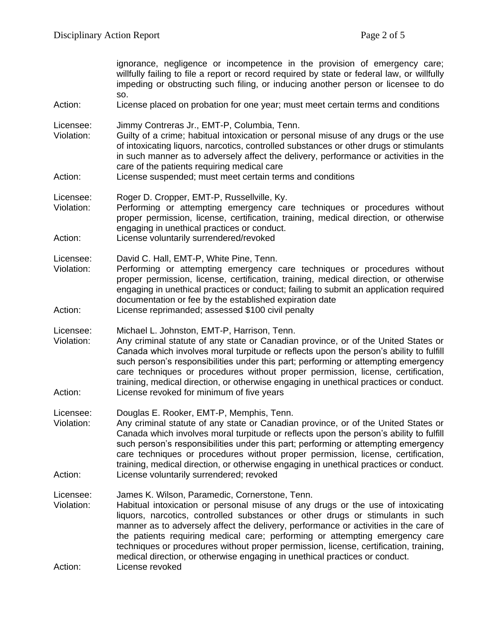| ignorance, negligence or incompetence in the provision of emergency care;<br>willfully failing to file a report or record required by state or federal law, or willfully<br>impeding or obstructing such filing, or inducing another person or licensee to do<br>SO.                                                                                                                                                                                                                                                                                                                    |
|-----------------------------------------------------------------------------------------------------------------------------------------------------------------------------------------------------------------------------------------------------------------------------------------------------------------------------------------------------------------------------------------------------------------------------------------------------------------------------------------------------------------------------------------------------------------------------------------|
| License placed on probation for one year; must meet certain terms and conditions                                                                                                                                                                                                                                                                                                                                                                                                                                                                                                        |
| Jimmy Contreras Jr., EMT-P, Columbia, Tenn.<br>Guilty of a crime; habitual intoxication or personal misuse of any drugs or the use<br>of intoxicating liquors, narcotics, controlled substances or other drugs or stimulants<br>in such manner as to adversely affect the delivery, performance or activities in the<br>care of the patients requiring medical care<br>License suspended; must meet certain terms and conditions                                                                                                                                                        |
|                                                                                                                                                                                                                                                                                                                                                                                                                                                                                                                                                                                         |
| Roger D. Cropper, EMT-P, Russellville, Ky.<br>Performing or attempting emergency care techniques or procedures without<br>proper permission, license, certification, training, medical direction, or otherwise<br>engaging in unethical practices or conduct.                                                                                                                                                                                                                                                                                                                           |
| License voluntarily surrendered/revoked                                                                                                                                                                                                                                                                                                                                                                                                                                                                                                                                                 |
| David C. Hall, EMT-P, White Pine, Tenn.<br>Performing or attempting emergency care techniques or procedures without<br>proper permission, license, certification, training, medical direction, or otherwise<br>engaging in unethical practices or conduct; failing to submit an application required<br>documentation or fee by the established expiration date                                                                                                                                                                                                                         |
| License reprimanded; assessed \$100 civil penalty                                                                                                                                                                                                                                                                                                                                                                                                                                                                                                                                       |
| Michael L. Johnston, EMT-P, Harrison, Tenn.<br>Any criminal statute of any state or Canadian province, or of the United States or<br>Canada which involves moral turpitude or reflects upon the person's ability to fulfill<br>such person's responsibilities under this part; performing or attempting emergency<br>care techniques or procedures without proper permission, license, certification,<br>training, medical direction, or otherwise engaging in unethical practices or conduct.<br>License revoked for minimum of five years                                             |
|                                                                                                                                                                                                                                                                                                                                                                                                                                                                                                                                                                                         |
| Douglas E. Rooker, EMT-P, Memphis, Tenn.<br>Any criminal statute of any state or Canadian province, or of the United States or<br>Canada which involves moral turpitude or reflects upon the person's ability to fulfill<br>such person's responsibilities under this part; performing or attempting emergency<br>care techniques or procedures without proper permission, license, certification,<br>training, medical direction, or otherwise engaging in unethical practices or conduct.                                                                                             |
| License voluntarily surrendered; revoked                                                                                                                                                                                                                                                                                                                                                                                                                                                                                                                                                |
| James K. Wilson, Paramedic, Cornerstone, Tenn.<br>Habitual intoxication or personal misuse of any drugs or the use of intoxicating<br>liquors, narcotics, controlled substances or other drugs or stimulants in such<br>manner as to adversely affect the delivery, performance or activities in the care of<br>the patients requiring medical care; performing or attempting emergency care<br>techniques or procedures without proper permission, license, certification, training,<br>medical direction, or otherwise engaging in unethical practices or conduct.<br>License revoked |
|                                                                                                                                                                                                                                                                                                                                                                                                                                                                                                                                                                                         |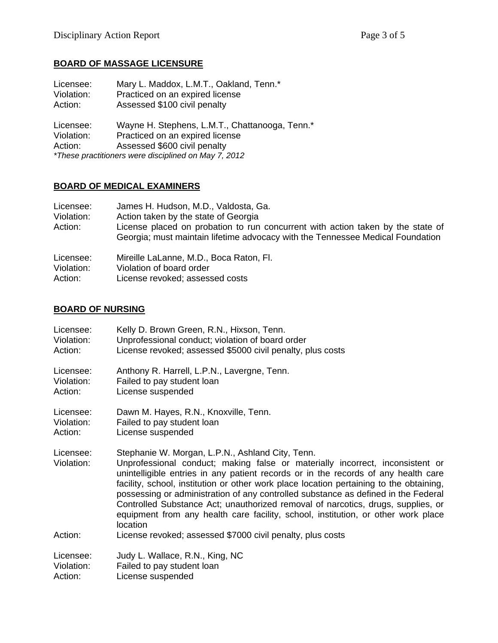# **BOARD OF MASSAGE LICENSURE**

| Licensee:                          | Mary L. Maddox, L.M.T., Oakland, Tenn.*                                                                                                                                   |
|------------------------------------|---------------------------------------------------------------------------------------------------------------------------------------------------------------------------|
| Violation:                         | Practiced on an expired license                                                                                                                                           |
| Action:                            | Assessed \$100 civil penalty                                                                                                                                              |
| Licensee:<br>Violation:<br>Action: | Wayne H. Stephens, L.M.T., Chattanooga, Tenn.*<br>Practiced on an expired license<br>Assessed \$600 civil penalty<br>*These practitioners were disciplined on May 7, 2012 |

# **BOARD OF MEDICAL EXAMINERS**

| Licensee:<br>Violation:<br>Action: | James H. Hudson, M.D., Valdosta, Ga.<br>Action taken by the state of Georgia<br>License placed on probation to run concurrent with action taken by the state of<br>Georgia; must maintain lifetime advocacy with the Tennessee Medical Foundation |
|------------------------------------|---------------------------------------------------------------------------------------------------------------------------------------------------------------------------------------------------------------------------------------------------|
| Licensee:                          | Mireille LaLanne, M.D., Boca Raton, Fl.                                                                                                                                                                                                           |
| Violation:                         | Violation of board order                                                                                                                                                                                                                          |
| Action:                            | License revoked; assessed costs                                                                                                                                                                                                                   |

# **BOARD OF NURSING**

| Licensee:               | Kelly D. Brown Green, R.N., Hixson, Tenn.                                                                                                                                                                                                                                                                                                                                                                                                                                                                                                                                                     |
|-------------------------|-----------------------------------------------------------------------------------------------------------------------------------------------------------------------------------------------------------------------------------------------------------------------------------------------------------------------------------------------------------------------------------------------------------------------------------------------------------------------------------------------------------------------------------------------------------------------------------------------|
| Violation:              | Unprofessional conduct; violation of board order                                                                                                                                                                                                                                                                                                                                                                                                                                                                                                                                              |
| Action:                 | License revoked; assessed \$5000 civil penalty, plus costs                                                                                                                                                                                                                                                                                                                                                                                                                                                                                                                                    |
| Licensee:               | Anthony R. Harrell, L.P.N., Lavergne, Tenn.                                                                                                                                                                                                                                                                                                                                                                                                                                                                                                                                                   |
| Violation:              | Failed to pay student loan                                                                                                                                                                                                                                                                                                                                                                                                                                                                                                                                                                    |
| Action:                 | License suspended                                                                                                                                                                                                                                                                                                                                                                                                                                                                                                                                                                             |
| Licensee:               | Dawn M. Hayes, R.N., Knoxville, Tenn.                                                                                                                                                                                                                                                                                                                                                                                                                                                                                                                                                         |
| Violation:              | Failed to pay student loan                                                                                                                                                                                                                                                                                                                                                                                                                                                                                                                                                                    |
| Action:                 | License suspended                                                                                                                                                                                                                                                                                                                                                                                                                                                                                                                                                                             |
| Licensee:<br>Violation: | Stephanie W. Morgan, L.P.N., Ashland City, Tenn.<br>Unprofessional conduct; making false or materially incorrect, inconsistent or<br>unintelligible entries in any patient records or in the records of any health care<br>facility, school, institution or other work place location pertaining to the obtaining,<br>possessing or administration of any controlled substance as defined in the Federal<br>Controlled Substance Act; unauthorized removal of narcotics, drugs, supplies, or<br>equipment from any health care facility, school, institution, or other work place<br>location |
| Action:                 | License revoked; assessed \$7000 civil penalty, plus costs                                                                                                                                                                                                                                                                                                                                                                                                                                                                                                                                    |
| Licensee:               | Judy L. Wallace, R.N., King, NC                                                                                                                                                                                                                                                                                                                                                                                                                                                                                                                                                               |
| Violation:              | Failed to pay student loan                                                                                                                                                                                                                                                                                                                                                                                                                                                                                                                                                                    |
| Action:                 | License suspended                                                                                                                                                                                                                                                                                                                                                                                                                                                                                                                                                                             |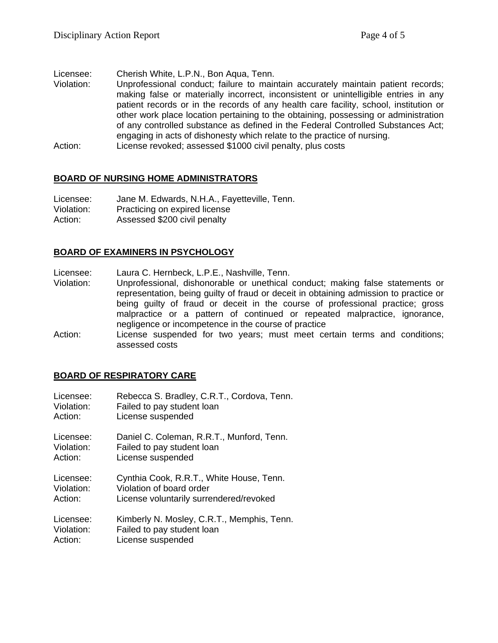Licensee: Cherish White, L.P.N., Bon Aqua, Tenn.

- Violation: Unprofessional conduct; failure to maintain accurately maintain patient records; making false or materially incorrect, inconsistent or unintelligible entries in any patient records or in the records of any health care facility, school, institution or other work place location pertaining to the obtaining, possessing or administration of any controlled substance as defined in the Federal Controlled Substances Act; engaging in acts of dishonesty which relate to the practice of nursing.
- Action: License revoked; assessed \$1000 civil penalty, plus costs

### **BOARD OF NURSING HOME ADMINISTRATORS**

| Licensee:  | Jane M. Edwards, N.H.A., Fayetteville, Tenn. |
|------------|----------------------------------------------|
| Violation: | Practicing on expired license                |
| Action:    | Assessed \$200 civil penalty                 |

### **BOARD OF EXAMINERS IN PSYCHOLOGY**

Licensee: Laura C. Hernbeck, L.P.E., Nashville, Tenn.

- Violation: Unprofessional, dishonorable or unethical conduct; making false statements or representation, being guilty of fraud or deceit in obtaining admission to practice or being guilty of fraud or deceit in the course of professional practice; gross malpractice or a pattern of continued or repeated malpractice, ignorance, negligence or incompetence in the course of practice
- Action: License suspended for two years; must meet certain terms and conditions; assessed costs

### **BOARD OF RESPIRATORY CARE**

| Licensee:  | Rebecca S. Bradley, C.R.T., Cordova, Tenn. |
|------------|--------------------------------------------|
| Violation: | Failed to pay student loan                 |
| Action:    | License suspended                          |
| Licensee:  | Daniel C. Coleman, R.R.T., Munford, Tenn.  |
| Violation: | Failed to pay student loan                 |
| Action:    | License suspended                          |
| Licensee:  | Cynthia Cook, R.R.T., White House, Tenn.   |
| Violation: | Violation of board order                   |
| Action:    | License voluntarily surrendered/revoked    |
| Licensee:  | Kimberly N. Mosley, C.R.T., Memphis, Tenn. |
| Violation: | Failed to pay student loan                 |
| Action:    | License suspended                          |